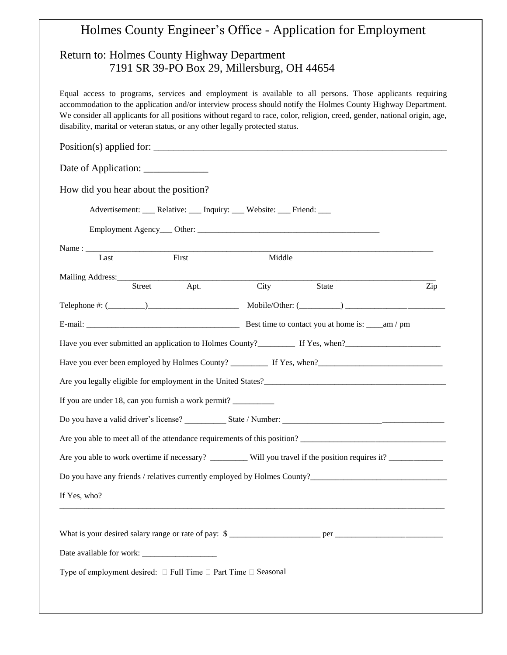## Holmes County Engineer's Office - Application for Employment Return to: Holmes County Highway Department 7191 SR 39-PO Box 29, Millersburg, OH 44654 Equal access to programs, services and employment is available to all persons. Those applicants requiring accommodation to the application and/or interview process should notify the Holmes County Highway Department. We consider all applicants for all positions without regard to race, color, religion, creed, gender, national origin, age, disability, marital or veteran status, or any other legally protected status.  $Position(s)$  applied for: Date of Application: \_\_\_\_\_\_\_\_\_\_\_\_\_\_\_ How did you hear about the position? Advertisement: \_\_\_ Relative: \_\_\_ Inquiry: \_\_\_ Website: \_\_\_ Friend: \_\_\_ Employment Agency\_\_\_ Other: \_\_\_\_\_\_\_\_\_\_\_\_\_\_\_\_\_\_\_\_\_\_\_\_\_\_\_\_\_\_\_\_\_\_\_\_\_\_\_\_\_\_\_\_ Name : \_\_\_\_\_\_\_\_\_\_\_\_\_\_\_\_\_\_\_\_\_\_\_\_\_\_\_\_\_\_\_\_\_\_\_\_\_\_\_\_\_\_\_\_\_\_\_\_\_\_\_\_\_\_\_\_\_\_\_\_\_\_\_\_\_\_\_\_\_\_\_\_\_\_\_\_\_\_\_\_\_\_\_\_ Last First Hiddle Mailing Address: Street Apt. City State Zip Telephone #: (\_\_\_\_\_\_\_\_\_)\_\_\_\_\_\_\_\_\_\_\_\_\_\_\_\_\_\_\_\_\_\_ Mobile/Other: (\_\_\_\_\_\_\_\_\_\_) \_\_\_\_\_\_\_\_\_\_\_\_\_\_\_\_\_\_\_\_\_\_\_\_ E-mail:  $\frac{1}{2}$  Best time to contact you at home is:  $\frac{1}{2}$  am / pm Have you ever submitted an application to Holmes County?\_\_\_\_\_\_\_\_\_ If Yes, when?\_\_\_\_\_\_\_\_\_\_\_\_\_\_\_\_\_\_\_\_\_\_\_ Have you ever been employed by Holmes County? \_\_\_\_\_\_\_\_\_ If Yes, when?\_\_\_\_\_\_\_\_\_\_\_\_\_\_\_\_\_\_\_\_\_\_\_\_\_\_\_\_\_\_ Are you legally eligible for employment in the United States? If you are under 18, can you furnish a work permit? \_\_\_\_\_\_\_\_\_\_\_\_\_\_\_\_\_\_\_\_\_\_\_\_\_\_\_\_\_ Do you have a valid driver's license? \_\_\_\_\_\_\_\_\_\_ State / Number: \_\_\_\_\_\_\_\_\_\_\_\_\_\_\_\_\_\_\_\_\_\_\_\_\_\_\_\_\_\_\_\_\_\_\_\_\_\_\_ Are you able to meet all of the attendance requirements of this position? Are you able to work overtime if necessary? \_\_\_\_\_\_\_\_\_\_ Will you travel if the position requires it? \_\_\_\_\_\_\_\_\_\_\_ Do you have any friends / relatives currently employed by Holmes County?\_\_\_\_\_\_\_\_\_\_\_\_\_\_\_\_\_\_\_\_\_\_\_\_\_\_\_\_\_\_\_\_\_ If Yes, who? \_\_\_\_\_\_\_\_\_\_\_\_\_\_\_\_\_\_\_\_\_\_\_\_\_\_\_\_\_\_\_\_\_\_\_\_\_\_\_\_\_\_\_\_\_\_\_\_\_\_\_\_\_\_\_\_\_\_\_\_\_\_\_\_\_\_\_\_\_\_\_\_\_\_\_\_\_\_\_\_\_\_\_\_\_\_\_\_\_\_\_\_\_ What is your desired salary range or rate of pay: \$ \_\_\_\_\_\_\_\_\_\_\_\_\_\_\_\_\_\_\_\_\_\_ per \_\_\_\_\_\_\_\_\_\_\_\_\_\_\_\_\_\_\_\_\_\_\_\_\_\_ Date available for work: Type of employment desired:  $\square$  Full Time  $\square$  Part Time  $\square$  Seasonal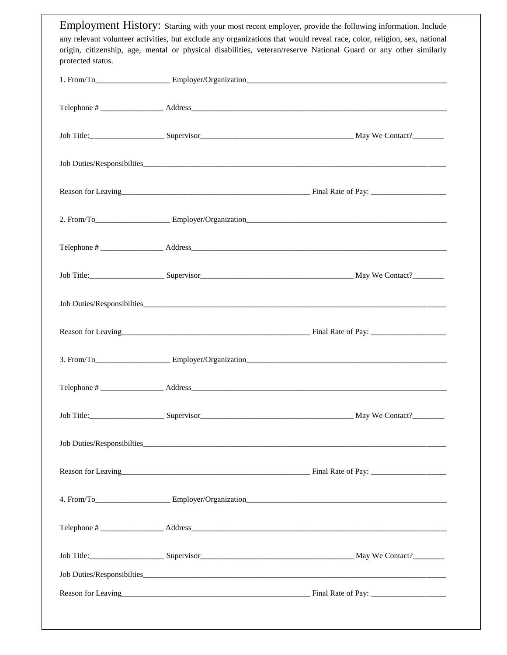Employment History: Starting with your most recent employer, provide the following information. Include any relevant volunteer activities, but exclude any organizations that would reveal race, color, religion, sex, national origin, citizenship, age, mental or physical disabilities, veteran/reserve National Guard or any other similarly protected status.

|  | Reason for Leaving<br><u>Einal Rate of Pay:</u>              |
|--|--------------------------------------------------------------|
|  |                                                              |
|  |                                                              |
|  |                                                              |
|  |                                                              |
|  |                                                              |
|  |                                                              |
|  |                                                              |
|  |                                                              |
|  |                                                              |
|  | Reason for Leaving<br>Reason for Leaving<br>Simulate of Pay: |
|  |                                                              |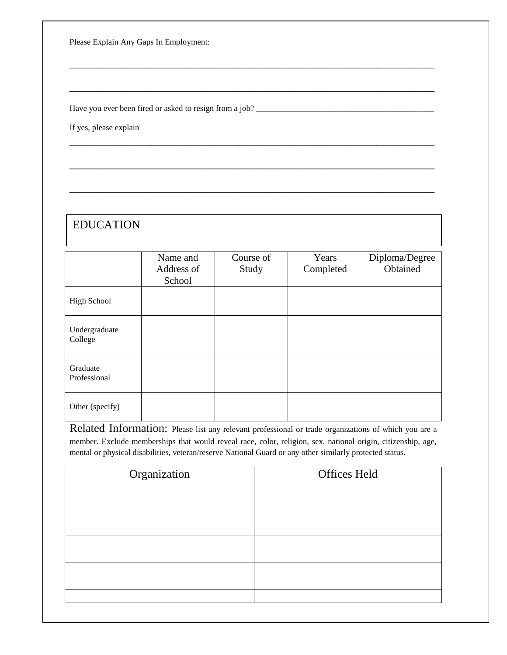Please Explain Any Gaps In Employment:

Have you ever been fired or asked to resign from a job? \_\_\_\_\_\_\_\_\_\_\_\_\_\_\_\_\_\_\_\_\_\_\_\_\_\_\_\_\_\_\_\_\_\_\_\_\_\_\_\_\_\_\_

If yes, please explain

## EDUCATION

|                          | Name and<br>Address of<br>School | Course of<br>Study | Years<br>Completed | Diploma/Degree<br>Obtained |
|--------------------------|----------------------------------|--------------------|--------------------|----------------------------|
| <b>High School</b>       |                                  |                    |                    |                            |
| Undergraduate<br>College |                                  |                    |                    |                            |
| Graduate<br>Professional |                                  |                    |                    |                            |
| Other (specify)          |                                  |                    |                    |                            |

\_\_\_\_\_\_\_\_\_\_\_\_\_\_\_\_\_\_\_\_\_\_\_\_\_\_\_\_\_\_\_\_\_\_\_\_\_\_\_\_\_\_\_\_\_\_\_\_\_\_\_\_\_\_\_\_\_\_\_\_\_\_\_

\_\_\_\_\_\_\_\_\_\_\_\_\_\_\_\_\_\_\_\_\_\_\_\_\_\_\_\_\_\_\_\_\_\_\_\_\_\_\_\_\_\_\_\_\_\_\_\_\_\_\_\_\_\_\_\_\_\_\_\_\_\_\_

\_\_\_\_\_\_\_\_\_\_\_\_\_\_\_\_\_\_\_\_\_\_\_\_\_\_\_\_\_\_\_\_\_\_\_\_\_\_\_\_\_\_\_\_\_\_\_\_\_\_\_\_\_\_\_\_\_\_\_\_\_\_\_

\_\_\_\_\_\_\_\_\_\_\_\_\_\_\_\_\_\_\_\_\_\_\_\_\_\_\_\_\_\_\_\_\_\_\_\_\_\_\_\_\_\_\_\_\_\_\_\_\_\_\_\_\_\_\_\_\_\_\_\_\_\_\_

\_\_\_\_\_\_\_\_\_\_\_\_\_\_\_\_\_\_\_\_\_\_\_\_\_\_\_\_\_\_\_\_\_\_\_\_\_\_\_\_\_\_\_\_\_\_\_\_\_\_\_\_\_\_\_\_\_\_\_\_\_\_\_

Related Information: Please list any relevant professional or trade organizations of which you are a member. Exclude memberships that would reveal race, color, religion, sex, national origin, citizenship, age, mental or physical disabilities, veteran/reserve National Guard or any other similarly protected status.

| Organization | <b>Offices Held</b> |
|--------------|---------------------|
|              |                     |
|              |                     |
|              |                     |
|              |                     |
|              |                     |
|              |                     |
|              |                     |
|              |                     |
|              |                     |